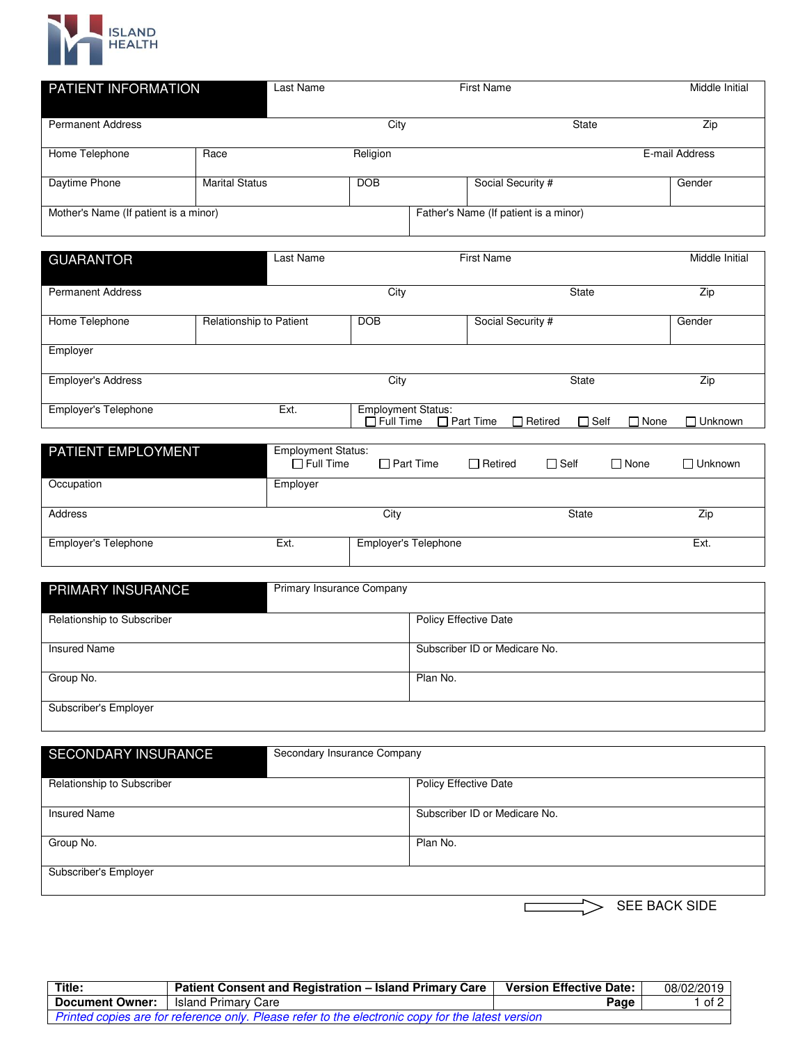

| PATIENT INFORMATION                   |                       | Last Name | <b>First Name</b> |  | Middle Initial                        |                |
|---------------------------------------|-----------------------|-----------|-------------------|--|---------------------------------------|----------------|
| <b>Permanent Address</b>              |                       |           | City              |  | State                                 | Zip            |
| Home Telephone                        | Race                  |           | Religion          |  |                                       | E-mail Address |
| Daytime Phone                         | <b>Marital Status</b> |           | <b>DOB</b>        |  | Social Security #                     | Gender         |
| Mother's Name (If patient is a minor) |                       |           |                   |  | Father's Name (If patient is a minor) |                |

| <b>GUARANTOR</b>          | Last Name               |                           | <b>First Name</b>                  |                            | Middle Initial |
|---------------------------|-------------------------|---------------------------|------------------------------------|----------------------------|----------------|
|                           |                         |                           |                                    |                            |                |
| <b>Permanent Address</b>  |                         | City                      |                                    | State                      | Zip            |
|                           |                         |                           |                                    |                            |                |
| Home Telephone            | Relationship to Patient | <b>DOB</b>                | Social Security #                  |                            | Gender         |
|                           |                         |                           |                                    |                            |                |
| Employer                  |                         |                           |                                    |                            |                |
|                           |                         |                           |                                    |                            |                |
| <b>Employer's Address</b> |                         | City                      |                                    | State                      | Zip            |
|                           |                         |                           |                                    |                            |                |
| Employer's Telephone      | Ext.                    | <b>Employment Status:</b> |                                    |                            |                |
|                           |                         | $\Box$ Full Time          | $\Box$ Part Time<br>$\Box$ Retired | $\Box$ Self<br>$\Box$ None | $\Box$ Unknown |

| <b>PATIENT EMPLOYMENT</b> | <b>Employment Status:</b><br>$\Box$ Full Time | $\Box$ Part Time            | $\Box$ Retired | $\Box$ Self | $\Box$ None | $\Box$ Unknown |
|---------------------------|-----------------------------------------------|-----------------------------|----------------|-------------|-------------|----------------|
| Occupation                | Employer                                      |                             |                |             |             |                |
| Address                   |                                               | City                        |                | State       |             | Zip            |
| Employer's Telephone      | Ext.                                          | <b>Employer's Telephone</b> |                |             |             | Ext.           |

| PRIMARY INSURANCE          | <b>Primary Insurance Company</b> |
|----------------------------|----------------------------------|
| Relationship to Subscriber | <b>Policy Effective Date</b>     |
| Insured Name               | Subscriber ID or Medicare No.    |
| Group No.                  | Plan No.                         |
| Subscriber's Employer      |                                  |

| <b>SECONDARY INSURANCE</b> | Secondary Insurance Company   |  |  |  |  |
|----------------------------|-------------------------------|--|--|--|--|
| Relationship to Subscriber | <b>Policy Effective Date</b>  |  |  |  |  |
|                            |                               |  |  |  |  |
| <b>Insured Name</b>        | Subscriber ID or Medicare No. |  |  |  |  |
| Group No.                  | Plan No.                      |  |  |  |  |
| Subscriber's Employer      |                               |  |  |  |  |
|                            | <b>SEE BACK SIDE</b>          |  |  |  |  |

| <b>Title:</b>                                                                                     | Patient Consent and Registration - Island Primary Care | <b>Version Effective Date:  </b> | 08/02/2019 |  |  |
|---------------------------------------------------------------------------------------------------|--------------------------------------------------------|----------------------------------|------------|--|--|
| <b>Document Owner:</b>                                                                            | l Island Primarv Care                                  | Page                             | 1 of 2     |  |  |
| Printed copies are for reference only. Please refer to the electronic copy for the latest version |                                                        |                                  |            |  |  |